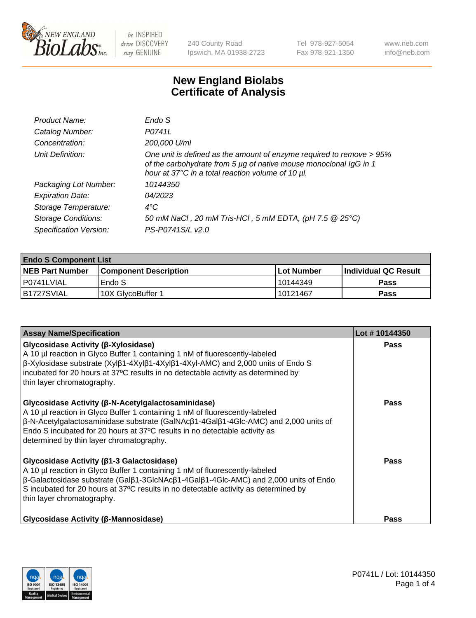

240 County Road Ipswich, MA 01938-2723 Tel 978-927-5054 Fax 978-921-1350 www.neb.com info@neb.com

## **New England Biolabs Certificate of Analysis**

| Product Name:              | Endo S                                                                                                                                                                                         |
|----------------------------|------------------------------------------------------------------------------------------------------------------------------------------------------------------------------------------------|
| Catalog Number:            | P0741L                                                                                                                                                                                         |
| Concentration:             | 200,000 U/ml                                                                                                                                                                                   |
| Unit Definition:           | One unit is defined as the amount of enzyme required to remove > 95%<br>of the carbohydrate from 5 µg of native mouse monoclonal IgG in 1<br>hour at 37°C in a total reaction volume of 10 µl. |
| Packaging Lot Number:      | 10144350                                                                                                                                                                                       |
| <b>Expiration Date:</b>    | 04/2023                                                                                                                                                                                        |
| Storage Temperature:       | $4^{\circ}$ C                                                                                                                                                                                  |
| <b>Storage Conditions:</b> | 50 mM NaCl, 20 mM Tris-HCl, 5 mM EDTA, (pH 7.5 @ 25°C)                                                                                                                                         |
| Specification Version:     | PS-P0741S/L v2.0                                                                                                                                                                               |
|                            |                                                                                                                                                                                                |

| <b>Endo S Component List</b> |                         |              |                             |  |  |
|------------------------------|-------------------------|--------------|-----------------------------|--|--|
| <b>NEB Part Number</b>       | l Component Description | l Lot Number | <b>Individual QC Result</b> |  |  |
| l P0741LVIAL                 | Endo S                  | 10144349     | <b>Pass</b>                 |  |  |
| IB1727SVIAL                  | 10X GlycoBuffer 1       | l 10121467   | Pass                        |  |  |

| <b>Assay Name/Specification</b>                                                                                                                                                                                                                                                                                                                                     | Lot #10144350 |
|---------------------------------------------------------------------------------------------------------------------------------------------------------------------------------------------------------------------------------------------------------------------------------------------------------------------------------------------------------------------|---------------|
| Glycosidase Activity (β-Xylosidase)<br>A 10 µl reaction in Glyco Buffer 1 containing 1 nM of fluorescently-labeled<br>β-Xylosidase substrate (Xylβ1-4Xylβ1-4Xylβ1-4Xyl-AMC) and 2,000 units of Endo S<br>incubated for 20 hours at 37°C results in no detectable activity as determined by<br>thin layer chromatography.                                            | <b>Pass</b>   |
| Glycosidase Activity (β-N-Acetylgalactosaminidase)<br>A 10 µl reaction in Glyco Buffer 1 containing 1 nM of fluorescently-labeled<br>β-N-Acetylgalactosaminidase substrate (GalNAcβ1-4Galβ1-4Glc-AMC) and 2,000 units of<br>Endo S incubated for 20 hours at 37°C results in no detectable activity as<br>determined by thin layer chromatography.                  | <b>Pass</b>   |
| Glycosidase Activity (β1-3 Galactosidase)<br>A 10 µl reaction in Glyco Buffer 1 containing 1 nM of fluorescently-labeled<br>$\beta$ -Galactosidase substrate (Gal $\beta$ 1-3GlcNAc $\beta$ 1-4Gal $\beta$ 1-4Glc-AMC) and 2,000 units of Endo<br>S incubated for 20 hours at 37°C results in no detectable activity as determined by<br>thin layer chromatography. | Pass          |
| <b>Glycosidase Activity (β-Mannosidase)</b>                                                                                                                                                                                                                                                                                                                         | <b>Pass</b>   |

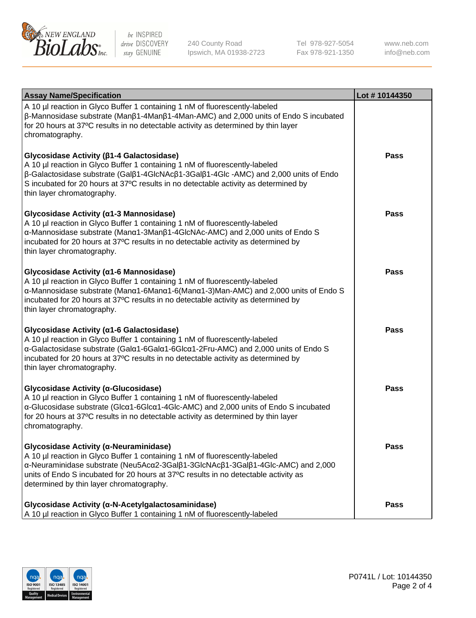

240 County Road Ipswich, MA 01938-2723 Tel 978-927-5054 Fax 978-921-1350 www.neb.com info@neb.com

| <b>Assay Name/Specification</b>                                                                                                                                                                                                                                                                                                                                      | Lot #10144350 |
|----------------------------------------------------------------------------------------------------------------------------------------------------------------------------------------------------------------------------------------------------------------------------------------------------------------------------------------------------------------------|---------------|
| A 10 µl reaction in Glyco Buffer 1 containing 1 nM of fluorescently-labeled<br>$\beta$ -Mannosidase substrate (Man $\beta$ 1-4Man $\beta$ 1-4Man-AMC) and 2,000 units of Endo S incubated<br>for 20 hours at 37°C results in no detectable activity as determined by thin layer<br>chromatography.                                                                   |               |
| Glycosidase Activity (β1-4 Galactosidase)<br>A 10 µl reaction in Glyco Buffer 1 containing 1 nM of fluorescently-labeled<br>$\beta$ -Galactosidase substrate (Gal $\beta$ 1-4GlcNAc $\beta$ 1-3Gal $\beta$ 1-4Glc -AMC) and 2,000 units of Endo<br>S incubated for 20 hours at 37°C results in no detectable activity as determined by<br>thin layer chromatography. | Pass          |
| Glycosidase Activity (α1-3 Mannosidase)<br>A 10 µl reaction in Glyco Buffer 1 containing 1 nM of fluorescently-labeled<br>α-Mannosidase substrate (Manα1-3Manβ1-4GlcNAc-AMC) and 2,000 units of Endo S<br>incubated for 20 hours at 37°C results in no detectable activity as determined by<br>thin layer chromatography.                                            | Pass          |
| Glycosidase Activity (α1-6 Mannosidase)<br>A 10 µl reaction in Glyco Buffer 1 containing 1 nM of fluorescently-labeled<br>α-Mannosidase substrate (Μanα1-6Μanα1-6(Μanα1-3)Man-AMC) and 2,000 units of Endo S<br>incubated for 20 hours at 37°C results in no detectable activity as determined by<br>thin layer chromatography.                                      | Pass          |
| Glycosidase Activity (α1-6 Galactosidase)<br>A 10 µl reaction in Glyco Buffer 1 containing 1 nM of fluorescently-labeled<br>α-Galactosidase substrate (Galα1-6Galα1-6Glcα1-2Fru-AMC) and 2,000 units of Endo S<br>incubated for 20 hours at 37°C results in no detectable activity as determined by<br>thin layer chromatography.                                    | <b>Pass</b>   |
| Glycosidase Activity (α-Glucosidase)<br>A 10 µl reaction in Glyco Buffer 1 containing 1 nM of fluorescently-labeled<br>α-Glucosidase substrate (Glcα1-6Glcα1-4Glc-AMC) and 2,000 units of Endo S incubated<br>for 20 hours at 37°C results in no detectable activity as determined by thin layer<br>chromatography.                                                  | <b>Pass</b>   |
| Glycosidase Activity (α-Neuraminidase)<br>A 10 µl reaction in Glyco Buffer 1 containing 1 nM of fluorescently-labeled<br>α-Neuraminidase substrate (Neu5Acα2-3Galβ1-3GlcNAcβ1-3Galβ1-4Glc-AMC) and 2,000<br>units of Endo S incubated for 20 hours at 37°C results in no detectable activity as<br>determined by thin layer chromatography.                          | Pass          |
| Glycosidase Activity (α-N-Acetylgalactosaminidase)<br>A 10 µl reaction in Glyco Buffer 1 containing 1 nM of fluorescently-labeled                                                                                                                                                                                                                                    | <b>Pass</b>   |

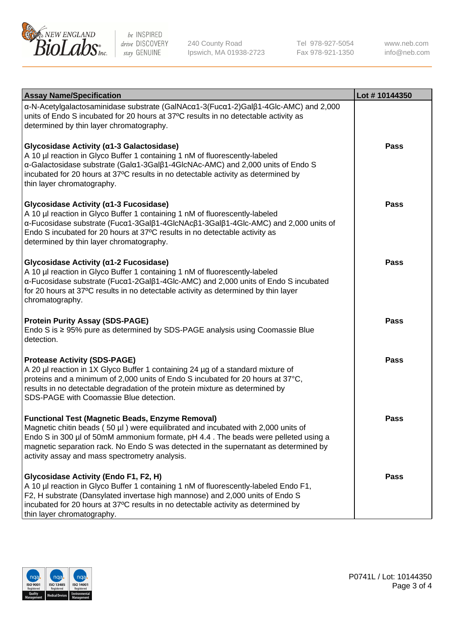

240 County Road Ipswich, MA 01938-2723 Tel 978-927-5054 Fax 978-921-1350

www.neb.com info@neb.com

| <b>Assay Name/Specification</b>                                                                                                                                                                                                                                                                                                                                              | Lot #10144350 |
|------------------------------------------------------------------------------------------------------------------------------------------------------------------------------------------------------------------------------------------------------------------------------------------------------------------------------------------------------------------------------|---------------|
| α-N-Acetylgalactosaminidase substrate (GalNAcα1-3(Fucα1-2)Galβ1-4Glc-AMC) and 2,000<br>units of Endo S incubated for 20 hours at 37°C results in no detectable activity as<br>determined by thin layer chromatography.                                                                                                                                                       |               |
| Glycosidase Activity (a1-3 Galactosidase)<br>A 10 µl reaction in Glyco Buffer 1 containing 1 nM of fluorescently-labeled<br>a-Galactosidase substrate (Gala1-3Galß1-4GlcNAc-AMC) and 2,000 units of Endo S<br>incubated for 20 hours at 37°C results in no detectable activity as determined by<br>thin layer chromatography.                                                | <b>Pass</b>   |
| Glycosidase Activity (α1-3 Fucosidase)<br>A 10 µl reaction in Glyco Buffer 1 containing 1 nM of fluorescently-labeled<br>α-Fucosidase substrate (Fucα1-3Galβ1-4GlcNAcβ1-3Galβ1-4Glc-AMC) and 2,000 units of<br>Endo S incubated for 20 hours at 37°C results in no detectable activity as<br>determined by thin layer chromatography.                                        | <b>Pass</b>   |
| Glycosidase Activity (α1-2 Fucosidase)<br>A 10 µl reaction in Glyco Buffer 1 containing 1 nM of fluorescently-labeled<br>α-Fucosidase substrate (Fucα1-2Galβ1-4Glc-AMC) and 2,000 units of Endo S incubated<br>for 20 hours at 37°C results in no detectable activity as determined by thin layer<br>chromatography.                                                         | <b>Pass</b>   |
| <b>Protein Purity Assay (SDS-PAGE)</b><br>Endo S is ≥ 95% pure as determined by SDS-PAGE analysis using Coomassie Blue<br>detection.                                                                                                                                                                                                                                         | <b>Pass</b>   |
| <b>Protease Activity (SDS-PAGE)</b><br>A 20 µl reaction in 1X Glyco Buffer 1 containing 24 µg of a standard mixture of<br>proteins and a minimum of 2,000 units of Endo S incubated for 20 hours at 37°C,<br>results in no detectable degradation of the protein mixture as determined by<br>SDS-PAGE with Coomassie Blue detection.                                         | <b>Pass</b>   |
| <b>Functional Test (Magnetic Beads, Enzyme Removal)</b><br>Magnetic chitin beads (50 µl) were equilibrated and incubated with 2,000 units of<br>Endo S in 300 µl of 50mM ammonium formate, pH 4.4. The beads were pelleted using a<br>magnetic separation rack. No Endo S was detected in the supernatant as determined by<br>activity assay and mass spectrometry analysis. | Pass          |
| Glycosidase Activity (Endo F1, F2, H)<br>A 10 µl reaction in Glyco Buffer 1 containing 1 nM of fluorescently-labeled Endo F1,<br>F2, H substrate (Dansylated invertase high mannose) and 2,000 units of Endo S<br>incubated for 20 hours at 37°C results in no detectable activity as determined by<br>thin layer chromatography.                                            | Pass          |